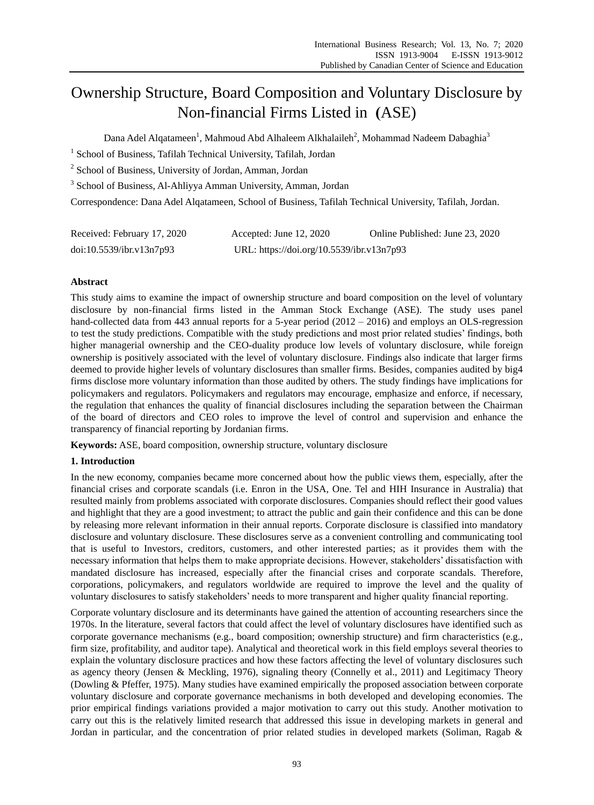# Ownership Structure, Board Composition and Voluntary Disclosure by Non-financial Firms Listed in (ASE)

Dana Adel Alqatameen $^{\rm l}$ , Mahmoud Abd Alhaleem Alkhalaileh $^{\rm 2}$ , Mohammad Nadeem Dabaghia $^{\rm 3}$ 

<sup>1</sup> School of Business, Tafilah Technical University, Tafilah, Jordan

<sup>2</sup> School of Business, University of Jordan, Amman, Jordan

<sup>3</sup> School of Business, Al-Ahliyya Amman University, Amman, Jordan

Correspondence: Dana Adel Alqatameen, School of Business, Tafilah Technical University, Tafilah, Jordan.

| Received: February 17, 2020 | Accepted: June 12, 2020                   | Online Published: June 23, 2020 |
|-----------------------------|-------------------------------------------|---------------------------------|
| doi:10.5539/ibr.v13n7p93    | URL: https://doi.org/10.5539/ibr.v13n7p93 |                                 |

# **Abstract**

This study aims to examine the impact of ownership structure and board composition on the level of voluntary disclosure by non-financial firms listed in the Amman Stock Exchange (ASE). The study uses panel hand-collected data from 443 annual reports for a 5-year period (2012 – 2016) and employs an OLS-regression to test the study predictions. Compatible with the study predictions and most prior related studies' findings, both higher managerial ownership and the CEO-duality produce low levels of voluntary disclosure, while foreign ownership is positively associated with the level of voluntary disclosure. Findings also indicate that larger firms deemed to provide higher levels of voluntary disclosures than smaller firms. Besides, companies audited by big4 firms disclose more voluntary information than those audited by others. The study findings have implications for policymakers and regulators. Policymakers and regulators may encourage, emphasize and enforce, if necessary, the regulation that enhances the quality of financial disclosures including the separation between the Chairman of the board of directors and CEO roles to improve the level of control and supervision and enhance the transparency of financial reporting by Jordanian firms.

**Keywords:** ASE, board composition, ownership structure, voluntary disclosure

# **1. Introduction**

In the new economy, companies became more concerned about how the public views them, especially, after the financial crises and corporate scandals (i.e. Enron in the USA, One. Tel and HIH Insurance in Australia) that resulted mainly from problems associated with corporate disclosures. Companies should reflect their good values and highlight that they are a good investment; to attract the public and gain their confidence and this can be done by releasing more relevant information in their annual reports. Corporate disclosure is classified into mandatory disclosure and voluntary disclosure. These disclosures serve as a convenient controlling and communicating tool that is useful to Investors, creditors, customers, and other interested parties; as it provides them with the necessary information that helps them to make appropriate decisions. However, stakeholders' dissatisfaction with mandated disclosure has increased, especially after the financial crises and corporate scandals. Therefore, corporations, policymakers, and regulators worldwide are required to improve the level and the quality of voluntary disclosures to satisfy stakeholders' needs to more transparent and higher quality financial reporting.

Corporate voluntary disclosure and its determinants have gained the attention of accounting researchers since the 1970s. In the literature, several factors that could affect the level of voluntary disclosures have identified such as corporate governance mechanisms (e.g., board composition; ownership structure) and firm characteristics (e.g., firm size, profitability, and auditor tape). Analytical and theoretical work in this field employs several theories to explain the voluntary disclosure practices and how these factors affecting the level of voluntary disclosures such as agency theory (Jensen & Meckling, 1976), signaling theory (Connelly et al., 2011) and Legitimacy Theory (Dowling & Pfeffer, 1975). Many studies have examined empirically the proposed association between corporate voluntary disclosure and corporate governance mechanisms in both developed and developing economies. The prior empirical findings variations provided a major motivation to carry out this study. Another motivation to carry out this is the relatively limited research that addressed this issue in developing markets in general and Jordan in particular, and the concentration of prior related studies in developed markets (Soliman, Ragab &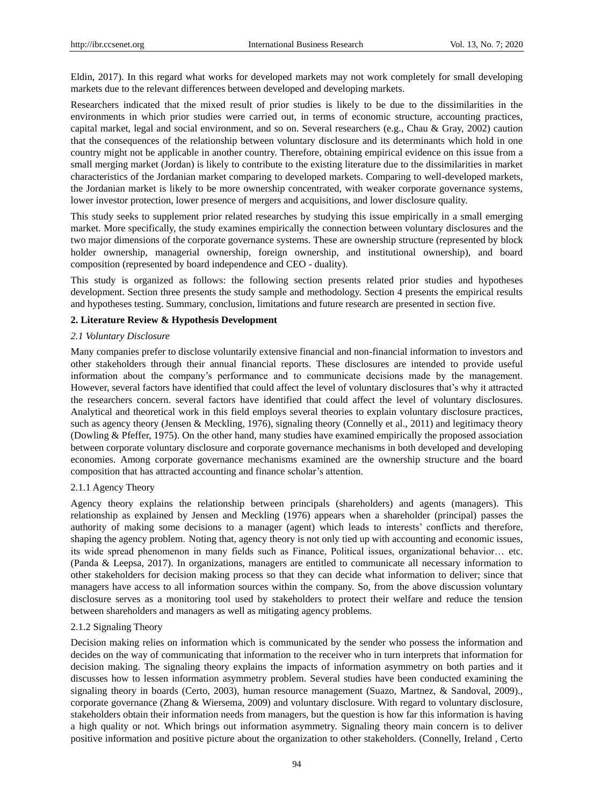Eldin, 2017). In this regard what works for developed markets may not work completely for small developing markets due to the relevant differences between developed and developing markets.

Researchers indicated that the mixed result of prior studies is likely to be due to the dissimilarities in the environments in which prior studies were carried out, in terms of economic structure, accounting practices, capital market, legal and social environment, and so on. Several researchers (e.g., Chau & Gray, 2002) caution that the consequences of the relationship between voluntary disclosure and its determinants which hold in one country might not be applicable in another country. Therefore, obtaining empirical evidence on this issue from a small merging market (Jordan) is likely to contribute to the existing literature due to the dissimilarities in market characteristics of the Jordanian market comparing to developed markets. Comparing to well-developed markets, the Jordanian market is likely to be more ownership concentrated, with weaker corporate governance systems, lower investor protection, lower presence of mergers and acquisitions, and lower disclosure quality.

This study seeks to supplement prior related researches by studying this issue empirically in a small emerging market. More specifically, the study examines empirically the connection between voluntary disclosures and the two major dimensions of the corporate governance systems. These are ownership structure (represented by block holder ownership, managerial ownership, foreign ownership, and institutional ownership), and board composition (represented by board independence and CEO - duality).

This study is organized as follows: the following section presents related prior studies and hypotheses development. Section three presents the study sample and methodology. Section 4 presents the empirical results and hypotheses testing. Summary, conclusion, limitations and future research are presented in section five.

# **2. Literature Review & Hypothesis Development**

## *2.1 Voluntary Disclosure*

Many companies prefer to disclose voluntarily extensive financial and non-financial information to investors and other stakeholders through their annual financial reports. These disclosures are intended to provide useful information about the company's performance and to communicate decisions made by the management. However, several factors have identified that could affect the level of voluntary disclosures that's why it attracted the researchers concern. several factors have identified that could affect the level of voluntary disclosures. Analytical and theoretical work in this field employs several theories to explain voluntary disclosure practices, such as agency theory (Jensen & Meckling, 1976), signaling theory (Connelly et al., 2011) and legitimacy theory (Dowling & Pfeffer, 1975). On the other hand, many studies have examined empirically the proposed association between corporate voluntary disclosure and corporate governance mechanisms in both developed and developing economies. Among corporate governance mechanisms examined are the ownership structure and the board composition that has attracted accounting and finance scholar's attention.

## 2.1.1 Agency Theory

Agency theory explains the relationship between principals (shareholders) and agents (managers). This relationship as explained by Jensen and Meckling (1976) appears when a shareholder (principal) passes the authority of making some decisions to a manager (agent) which leads to interests' conflicts and therefore, shaping the agency problem. Noting that, agency theory is not only tied up with accounting and economic issues, its wide spread phenomenon in many fields such as Finance, Political issues, organizational behavior… etc. (Panda & Leepsa, 2017). In organizations, managers are entitled to communicate all necessary information to other stakeholders for decision making process so that they can decide what information to deliver; since that managers have access to all information sources within the company. So, from the above discussion voluntary disclosure serves as a monitoring tool used by stakeholders to protect their welfare and reduce the tension between shareholders and managers as well as mitigating agency problems.

## 2.1.2 Signaling Theory

Decision making relies on information which is communicated by the sender who possess the information and decides on the way of communicating that information to the receiver who in turn interprets that information for decision making. The signaling theory explains the impacts of information asymmetry on both parties and it discusses how to lessen information asymmetry problem. Several studies have been conducted examining the signaling theory in boards (Certo, 2003), human resource management (Suazo, Martnez, & Sandoval, 2009)., corporate governance (Zhang & Wiersema, 2009) and voluntary disclosure. With regard to voluntary disclosure, stakeholders obtain their information needs from managers, but the question is how far this information is having a high quality or not. Which brings out information asymmetry. Signaling theory main concern is to deliver positive information and positive picture about the organization to other stakeholders. (Connelly, Ireland , Certo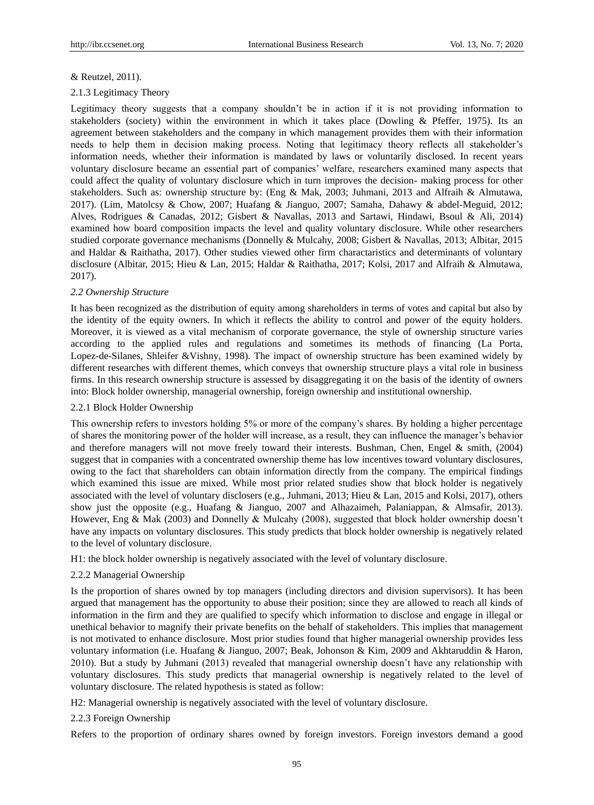# & Reutzel, 2011).

# 2.1.3 Legitimacy Theory

Legitimacy theory suggests that a company shouldn't be in action if it is not providing information to stakeholders (society) within the environment in which it takes place (Dowling & Pfeffer, 1975). Its an agreement between stakeholders and the company in which management provides them with their information needs to help them in decision making process. Noting that legitimacy theory reflects all stakeholder's information needs, whether their information is mandated by laws or voluntarily disclosed. In recent years voluntary disclosure became an essential part of companies' welfare, researchers examined many aspects that could affect the quality of voluntary disclosure which in turn improves the decision- making process for other stakeholders. Such as: ownership structure by: (Eng & Mak, 2003; Juhmani, 2013 and Alfraih & Almutawa, 2017). (Lim, Matolcsy & Chow, 2007; Huafang & Jianguo, 2007; Samaha, Dahawy & abdel-Meguid, 2012; Alves, Rodrigues & Canadas, 2012; Gisbert & Navallas, 2013 and Sartawi, Hindawi, Bsoul & Ali, 2014) examined how board composition impacts the level and quality voluntary disclosure. While other researchers studied corporate governance mechanisms (Donnelly & Mulcahy, 2008; Gisbert & Navallas, 2013; Albitar, 2015 and Haldar & Raithatha, 2017). Other studies viewed other firm charactaristics and determinants of voluntary disclosure (Albitar, 2015; Hieu & Lan, 2015; Haldar & Raithatha, 2017; Kolsi, 2017 and Alfraih & Almutawa, 2017).

# *2.2 Ownership Structure*

It has been recognized as the distribution of equity among shareholders in terms of votes and capital but also by the identity of the equity owners. In which it reflects the ability to control and power of the equity holders. Moreover, it is viewed as a vital mechanism of corporate governance, the style of ownership structure varies according to the applied rules and regulations and sometimes its methods of financing (La Porta, Lopez-de-Silanes, Shleifer &Vishny, 1998). The impact of ownership structure has been examined widely by different researches with different themes, which conveys that ownership structure plays a vital role in business firms. In this research ownership structure is assessed by disaggregating it on the basis of the identity of owners into: Block holder ownership, managerial ownership, foreign ownership and institutional ownership.

## 2.2.1 Block Holder Ownership

This ownership refers to investors holding 5% or more of the company's shares. By holding a higher percentage of shares the monitoring power of the holder will increase, as a result, they can influence the manager's behavior and therefore managers will not move freely toward their interests. Bushman, Chen, Engel & smith, (2004) suggest that in companies with a concentrated ownership theme has low incentives toward voluntary disclosures, owing to the fact that shareholders can obtain information directly from the company. The empirical findings which examined this issue are mixed. While most prior related studies show that block holder is negatively associated with the level of voluntary disclosers (e.g., Juhmani, 2013; Hieu & Lan, 2015 and Kolsi, 2017), others show just the opposite (e.g., Huafang & Jianguo, 2007 and Alhazaimeh, Palaniappan, & Almsafir, 2013). However, Eng & Mak (2003) and Donnelly & Mulcahy (2008), suggested that block holder ownership doesn't have any impacts on voluntary disclosures. This study predicts that block holder ownership is negatively related to the level of voluntary disclosure.

H1: the block holder ownership is negatively associated with the level of voluntary disclosure.

## 2.2.2 Managerial Ownership

Is the proportion of shares owned by top managers (including directors and division supervisors). It has been argued that management has the opportunity to abuse their position; since they are allowed to reach all kinds of information in the firm and they are qualified to specify which information to disclose and engage in illegal or unethical behavior to magnify their private benefits on the behalf of stakeholders. This implies that management is not motivated to enhance disclosure. Most prior studies found that higher managerial ownership provides less voluntary information (i.e. Huafang & Jianguo, 2007; Beak, Johonson & Kim, 2009 and Akhtaruddin & Haron, 2010). But a study by Juhmani (2013) revealed that managerial ownership doesn't have any relationship with voluntary disclosures. This study predicts that managerial ownership is negatively related to the level of voluntary disclosure. The related hypothesis is stated as follow:

H2: Managerial ownership is negatively associated with the level of voluntary disclosure.

# 2.2.3 Foreign Ownership

Refers to the proportion of ordinary shares owned by foreign investors. Foreign investors demand a good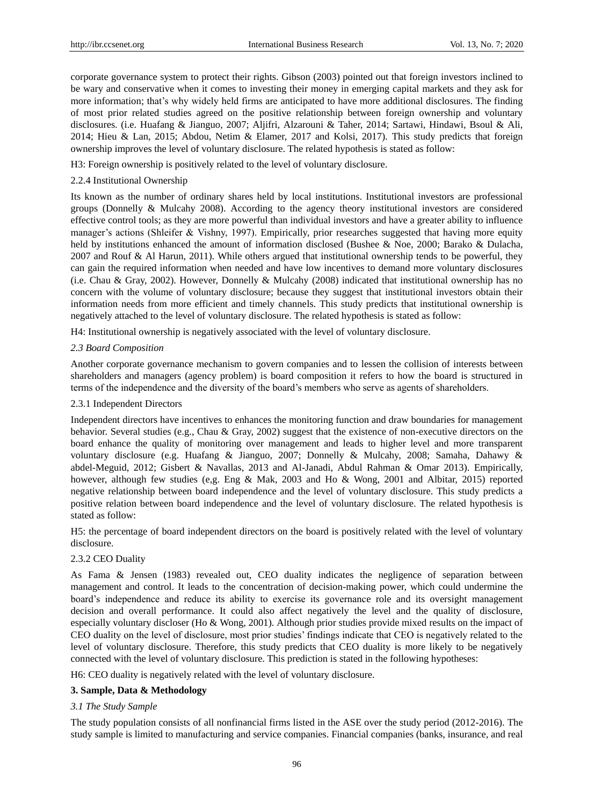corporate governance system to protect their rights. Gibson (2003) pointed out that foreign investors inclined to be wary and conservative when it comes to investing their money in emerging capital markets and they ask for more information; that's why widely held firms are anticipated to have more additional disclosures. The finding of most prior related studies agreed on the positive relationship between foreign ownership and voluntary disclosures. (i.e. Huafang & Jianguo, 2007; Aljifri, Alzarouni & Taher, 2014; Sartawi, Hindawi, Bsoul & Ali, 2014; Hieu & Lan, 2015; Abdou, Netim & Elamer, 2017 and Kolsi, 2017). This study predicts that foreign ownership improves the level of voluntary disclosure. The related hypothesis is stated as follow:

H3: Foreign ownership is positively related to the level of voluntary disclosure.

# 2.2.4 Institutional Ownership

Its known as the number of ordinary shares held by local institutions. Institutional investors are professional groups (Donnelly & Mulcahy 2008). According to the agency theory institutional investors are considered effective control tools; as they are more powerful than individual investors and have a greater ability to influence manager's actions (Shleifer & Vishny, 1997). Empirically, prior researches suggested that having more equity held by institutions enhanced the amount of information disclosed (Bushee & Noe, 2000; Barako & Dulacha, 2007 and Rouf & Al Harun, 2011). While others argued that institutional ownership tends to be powerful, they can gain the required information when needed and have low incentives to demand more voluntary disclosures (i.e. Chau & Gray, 2002). However, Donnelly & Mulcahy (2008) indicated that institutional ownership has no concern with the volume of voluntary disclosure; because they suggest that institutional investors obtain their information needs from more efficient and timely channels. This study predicts that institutional ownership is negatively attached to the level of voluntary disclosure. The related hypothesis is stated as follow:

H4: Institutional ownership is negatively associated with the level of voluntary disclosure.

# *2.3 Board Composition*

Another corporate governance mechanism to govern companies and to lessen the collision of interests between shareholders and managers (agency problem) is board composition it refers to how the board is structured in terms of the independence and the diversity of the board's members who serve as agents of shareholders.

## 2.3.1 Independent Directors

Independent directors have incentives to enhances the monitoring function and draw boundaries for management behavior. Several studies (e.g., Chau & Gray, 2002) suggest that the existence of non-executive directors on the board enhance the quality of monitoring over management and leads to higher level and more transparent voluntary disclosure (e.g. Huafang & Jianguo, 2007; Donnelly & Mulcahy, 2008; Samaha, Dahawy & abdel-Meguid, 2012; Gisbert & Navallas, 2013 and Al-Janadi, Abdul Rahman & Omar 2013). Empirically, however, although few studies (e,g. Eng & Mak, 2003 and Ho & Wong, 2001 and Albitar, 2015) reported negative relationship between board independence and the level of voluntary disclosure. This study predicts a positive relation between board independence and the level of voluntary disclosure. The related hypothesis is stated as follow:

H5: the percentage of board independent directors on the board is positively related with the level of voluntary disclosure.

## 2.3.2 CEO Duality

As Fama & Jensen (1983) revealed out, CEO duality indicates the negligence of separation between management and control. It leads to the concentration of decision-making power, which could undermine the board's independence and reduce its ability to exercise its governance role and its oversight management decision and overall performance. It could also affect negatively the level and the quality of disclosure, especially voluntary discloser (Ho & Wong, 2001). Although prior studies provide mixed results on the impact of CEO duality on the level of disclosure, most prior studies' findings indicate that CEO is negatively related to the level of voluntary disclosure. Therefore, this study predicts that CEO duality is more likely to be negatively connected with the level of voluntary disclosure. This prediction is stated in the following hypotheses:

H6: CEO duality is negatively related with the level of voluntary disclosure.

# **3. Sample, Data & Methodology**

# *3.1 The Study Sample*

The study population consists of all nonfinancial firms listed in the ASE over the study period (2012-2016). The study sample is limited to manufacturing and service companies. Financial companies (banks, insurance, and real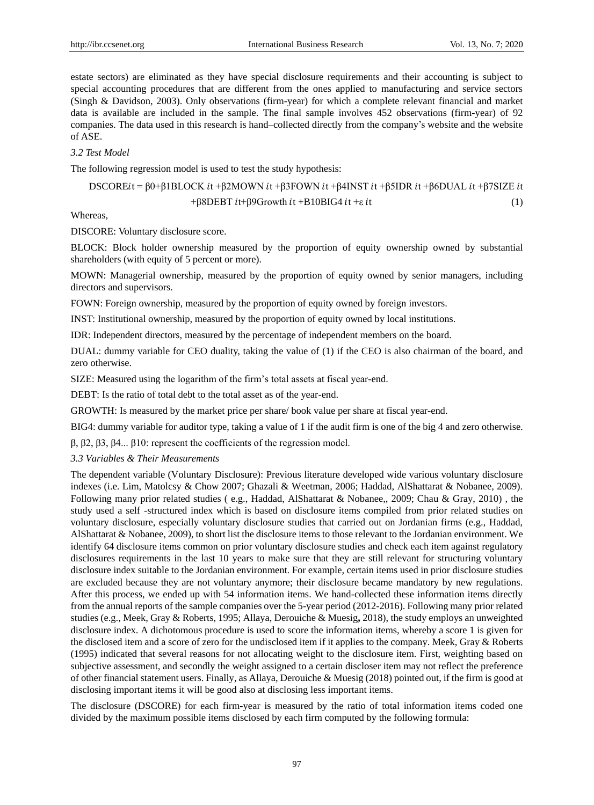estate sectors) are eliminated as they have special disclosure requirements and their accounting is subject to special accounting procedures that are different from the ones applied to manufacturing and service sectors (Singh & Davidson, 2003). Only observations (firm-year) for which a complete relevant financial and market data is available are included in the sample. The final sample involves 452 observations (firm-year) of 92 companies. The data used in this research is hand–collected directly from the company's website and the website of ASE.

## *3.2 Test Model*

The following regression model is used to test the study hypothesis:

DSCOREit = 
$$
\beta 0+\beta 1\text{BLOCK}
$$
 it + $\beta 2\text{MOWN}$  it + $\beta 3\text{FOWN}$  it + $\beta 4\text{INST}$  it + $\beta 5\text{IDR}$  it + $\beta 6\text{DUAL}$  it + $\beta 7\text{SIZE}$  it  
+ $\beta 8\text{DEBT}$  it+ $\beta 9\text{Growth}$  it + $B 10\text{BIG4}$  it + $\varepsilon$  it (1)

Whereas,

DISCORE: Voluntary disclosure score.

BLOCK: Block holder ownership measured by the proportion of equity ownership owned by substantial shareholders (with equity of 5 percent or more).

MOWN: Managerial ownership, measured by the proportion of equity owned by senior managers, including directors and supervisors.

FOWN: Foreign ownership, measured by the proportion of equity owned by foreign investors.

INST: Institutional ownership, measured by the proportion of equity owned by local institutions.

IDR: Independent directors, measured by the percentage of independent members on the board.

DUAL: dummy variable for CEO duality, taking the value of (1) if the CEO is also chairman of the board, and zero otherwise.

SIZE: Measured using the logarithm of the firm's total assets at fiscal year-end.

DEBT: Is the ratio of total debt to the total asset as of the year-end.

GROWTH: Is measured by the market price per share/ book value per share at fiscal year-end.

BIG4: dummy variable for auditor type, taking a value of 1 if the audit firm is one of the big 4 and zero otherwise.

β, β2, β3, β4... β10: represent the coefficients of the regression model.

## *3.3 Variables & Their Measurements*

The dependent variable (Voluntary Disclosure): Previous literature developed wide various voluntary disclosure indexes (i.e. Lim, Matolcsy & Chow 2007; Ghazali & Weetman, 2006; Haddad, AlShattarat & Nobanee, 2009). Following many prior related studies ( e.g., Haddad, AlShattarat & Nobanee,, 2009; Chau & Gray, 2010) , the study used a self -structured index which is based on disclosure items compiled from prior related studies on voluntary disclosure, especially voluntary disclosure studies that carried out on Jordanian firms (e.g., Haddad, AlShattarat & Nobanee, 2009), to short list the disclosure items to those relevant to the Jordanian environment. We identify 64 disclosure items common on prior voluntary disclosure studies and check each item against regulatory disclosures requirements in the last 10 years to make sure that they are still relevant for structuring voluntary disclosure index suitable to the Jordanian environment. For example, certain items used in prior disclosure studies are excluded because they are not voluntary anymore; their disclosure became mandatory by new regulations. After this process, we ended up with 54 information items. We hand-collected these information items directly from the annual reports of the sample companies over the 5-year period (2012-2016). Following many prior related studies (e.g., Meek, Gray & Roberts, 1995; Allaya, Derouiche & Muesig**,** 2018), the study employs an unweighted disclosure index. A dichotomous procedure is used to score the information items, whereby a score 1 is given for the disclosed item and a score of zero for the undisclosed item if it applies to the company. Meek, Gray & Roberts (1995) indicated that several reasons for not allocating weight to the disclosure item. First, weighting based on subjective assessment, and secondly the weight assigned to a certain discloser item may not reflect the preference of other financial statement users. Finally, as Allaya, Derouiche & Muesig (2018) pointed out, if the firm is good at disclosing important items it will be good also at disclosing less important items.

The disclosure (DSCORE) for each firm-year is measured by the ratio of total information items coded one divided by the maximum possible items disclosed by each firm computed by the following formula: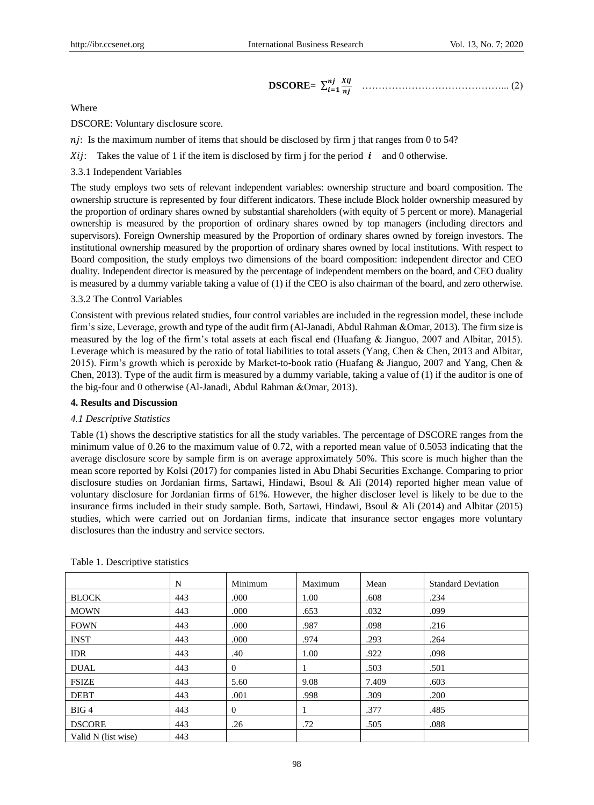DSCORE = 
$$
\sum_{i=1}^{nj} \frac{x_{ij}}{nj}
$$
 ....... (2)

Where

DSCORE: Voluntary disclosure score.

 $n_j$ : Is the maximum number of items that should be disclosed by firm j that ranges from 0 to 54?

 $Xii$ : Takes the value of 1 if the item is disclosed by firm i for the period  $\boldsymbol{i}$  and 0 otherwise.

## 3.3.1 Independent Variables

The study employs two sets of relevant independent variables: ownership structure and board composition. The ownership structure is represented by four different indicators. These include Block holder ownership measured by the proportion of ordinary shares owned by substantial shareholders (with equity of 5 percent or more). Managerial ownership is measured by the proportion of ordinary shares owned by top managers (including directors and supervisors). Foreign Ownership measured by the Proportion of ordinary shares owned by foreign investors. The institutional ownership measured by the proportion of ordinary shares owned by local institutions. With respect to Board composition, the study employs two dimensions of the board composition: independent director and CEO duality. Independent director is measured by the percentage of independent members on the board, and CEO duality is measured by a dummy variable taking a value of (1) if the CEO is also chairman of the board, and zero otherwise.

## 3.3.2 The Control Variables

Consistent with previous related studies, four control variables are included in the regression model, these include firm's size, Leverage, growth and type of the audit firm (Al-Janadi, Abdul Rahman &Omar, 2013). The firm size is measured by the log of the firm's total assets at each fiscal end (Huafang & Jianguo, 2007 and Albitar, 2015). Leverage which is measured by the ratio of total liabilities to total assets (Yang, Chen & Chen, 2013 and Albitar, 2015). Firm's growth which is peroxide by Market-to-book ratio (Huafang & Jianguo, 2007 and Yang, Chen & Chen, 2013). Type of the audit firm is measured by a dummy variable, taking a value of (1) if the auditor is one of the big-four and 0 otherwise (Al-Janadi, Abdul Rahman &Omar, 2013).

# **4. Results and Discussion**

## *4.1 Descriptive Statistics*

Table (1) shows the descriptive statistics for all the study variables. The percentage of DSCORE ranges from the minimum value of 0.26 to the maximum value of 0.72, with a reported mean value of 0.5053 indicating that the average disclosure score by sample firm is on average approximately 50%. This score is much higher than the mean score reported by Kolsi (2017) for companies listed in Abu Dhabi Securities Exchange. Comparing to prior disclosure studies on Jordanian firms, Sartawi, Hindawi, Bsoul & Ali (2014) reported higher mean value of voluntary disclosure for Jordanian firms of 61%. However, the higher discloser level is likely to be due to the insurance firms included in their study sample. Both, Sartawi, Hindawi, Bsoul & Ali (2014) and Albitar (2015) studies, which were carried out on Jordanian firms, indicate that insurance sector engages more voluntary disclosures than the industry and service sectors.

|                     | N   | Minimum        | Maximum | Mean  | <b>Standard Deviation</b> |
|---------------------|-----|----------------|---------|-------|---------------------------|
| <b>BLOCK</b>        | 443 | .000           | 1.00    | .608  | .234                      |
| <b>MOWN</b>         | 443 | .000           | .653    | .032  | .099                      |
| <b>FOWN</b>         | 443 | .000           | .987    | .098  | .216                      |
| <b>INST</b>         | 443 | .000           | .974    | .293  | .264                      |
| <b>IDR</b>          | 443 | .40            | 1.00    | .922  | .098                      |
| <b>DUAL</b>         | 443 | $\Omega$       | -1      | .503  | .501                      |
| <b>FSIZE</b>        | 443 | 5.60           | 9.08    | 7.409 | .603                      |
| <b>DEBT</b>         | 443 | .001           | .998    | .309  | .200                      |
| BIG4                | 443 | $\overline{0}$ |         | .377  | .485                      |
| <b>DSCORE</b>       | 443 | .26            | .72     | .505  | .088                      |
| Valid N (list wise) | 443 |                |         |       |                           |

Table 1. Descriptive statistics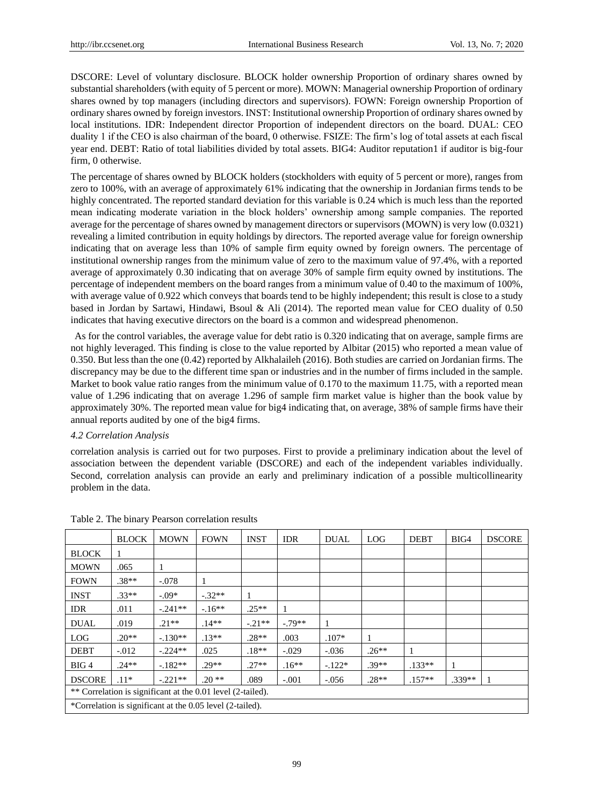DSCORE: Level of voluntary disclosure. BLOCK holder ownership Proportion of ordinary shares owned by substantial shareholders (with equity of 5 percent or more). MOWN: Managerial ownership Proportion of ordinary shares owned by top managers (including directors and supervisors). FOWN: Foreign ownership Proportion of ordinary shares owned by foreign investors. INST: Institutional ownership Proportion of ordinary shares owned by local institutions. IDR: Independent director Proportion of independent directors on the board. DUAL: CEO duality 1 if the CEO is also chairman of the board, 0 otherwise. FSIZE: The firm's log of total assets at each fiscal year end. DEBT: Ratio of total liabilities divided by total assets. BIG4: Auditor reputation1 if auditor is big-four firm, 0 otherwise.

The percentage of shares owned by BLOCK holders (stockholders with equity of 5 percent or more), ranges from zero to 100%, with an average of approximately 61% indicating that the ownership in Jordanian firms tends to be highly concentrated. The reported standard deviation for this variable is 0.24 which is much less than the reported mean indicating moderate variation in the block holders' ownership among sample companies. The reported average for the percentage of shares owned by management directors or supervisors (MOWN) is very low (0.0321) revealing a limited contribution in equity holdings by directors. The reported average value for foreign ownership indicating that on average less than 10% of sample firm equity owned by foreign owners. The percentage of institutional ownership ranges from the minimum value of zero to the maximum value of 97.4%, with a reported average of approximately 0.30 indicating that on average 30% of sample firm equity owned by institutions. The percentage of independent members on the board ranges from a minimum value of 0.40 to the maximum of 100%, with average value of 0.922 which conveys that boards tend to be highly independent; this result is close to a study based in Jordan by Sartawi, Hindawi, Bsoul & Ali (2014). The reported mean value for CEO duality of 0.50 indicates that having executive directors on the board is a common and widespread phenomenon.

As for the control variables, the average value for debt ratio is 0.320 indicating that on average, sample firms are not highly leveraged. This finding is close to the value reported by Albitar (2015) who reported a mean value of 0.350. But less than the one (0.42) reported by Alkhalaileh (2016). Both studies are carried on Jordanian firms. The discrepancy may be due to the different time span or industries and in the number of firms included in the sample. Market to book value ratio ranges from the minimum value of 0.170 to the maximum 11.75, with a reported mean value of 1.296 indicating that on average 1.296 of sample firm market value is higher than the book value by approximately 30%. The reported mean value for big4 indicating that, on average, 38% of sample firms have their annual reports audited by one of the big4 firms.

## *4.2 Correlation Analysis*

correlation analysis is carried out for two purposes. First to provide a preliminary indication about the level of association between the dependent variable (DSCORE) and each of the independent variables individually. Second, correlation analysis can provide an early and preliminary indication of a possible multicollinearity problem in the data.

|                                                             | <b>BLOCK</b> | <b>MOWN</b> | <b>FOWN</b> | <b>INST</b> | <b>IDR</b> | <b>DUAL</b> | LOG     | <b>DEBT</b> | BIG4     | <b>DSCORE</b> |
|-------------------------------------------------------------|--------------|-------------|-------------|-------------|------------|-------------|---------|-------------|----------|---------------|
| <b>BLOCK</b>                                                | 1            |             |             |             |            |             |         |             |          |               |
| <b>MOWN</b>                                                 | .065         |             |             |             |            |             |         |             |          |               |
| <b>FOWN</b>                                                 | $.38**$      | $-.078$     |             |             |            |             |         |             |          |               |
| <b>INST</b>                                                 | $.33**$      | $-.09*$     | $-.32**$    |             |            |             |         |             |          |               |
| <b>IDR</b>                                                  | .011         | $-.241**$   | $-16**$     | $.25**$     |            |             |         |             |          |               |
| <b>DUAL</b>                                                 | .019         | $21**$      | $14**$      | $-.21**$    | $-79**$    | 1           |         |             |          |               |
| <b>LOG</b>                                                  | $.20**$      | $-.130**$   | $.13**$     | $.28**$     | .003       | $.107*$     |         |             |          |               |
| <b>DEBT</b>                                                 | $-0.012$     | $-.224**$   | .025        | $.18**$     | $-.029$    | $-.036$     | $.26**$ |             |          |               |
| BIG <sub>4</sub>                                            | $.24**$      | $-.182**$   | $.29**$     | $.27**$     | $.16**$    | $-.122*$    | $.39**$ | $.133**$    | 1        |               |
| <b>DSCORE</b>                                               | $.11*$       | $-.221**$   | $.20**$     | .089        | $-.001$    | $-.056$     | $.28**$ | $.157**$    | $.339**$ |               |
| ** Correlation is significant at the 0.01 level (2-tailed). |              |             |             |             |            |             |         |             |          |               |
| *Correlation is significant at the 0.05 level (2-tailed).   |              |             |             |             |            |             |         |             |          |               |

Table 2. The binary Pearson correlation results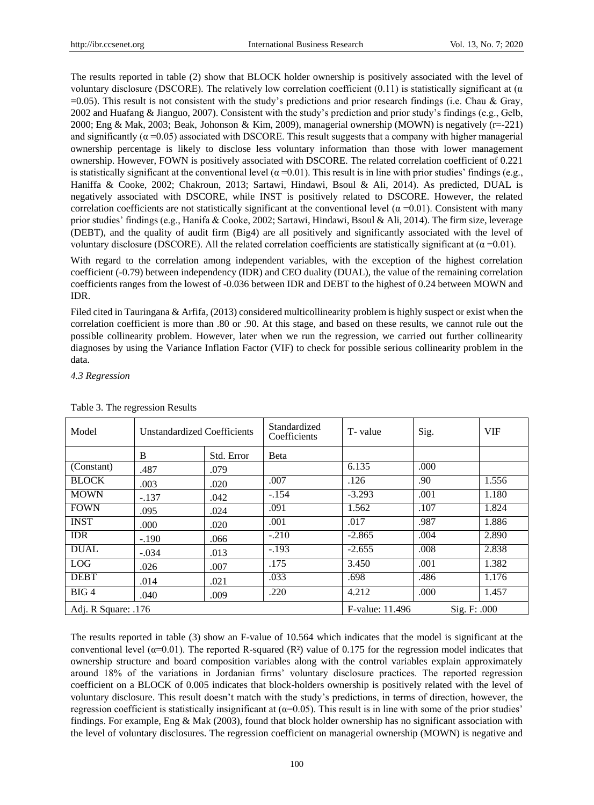The results reported in table (2) show that BLOCK holder ownership is positively associated with the level of voluntary disclosure (DSCORE). The relatively low correlation coefficient  $(0.11)$  is statistically significant at  $(\alpha)$  $=0.05$ ). This result is not consistent with the study's predictions and prior research findings (i.e. Chau & Gray, 2002 and Huafang & Jianguo, 2007). Consistent with the study's prediction and prior study's findings (e.g., Gelb, 2000; Eng & Mak, 2003; Beak, Johonson & Kim, 2009), managerial ownership (MOWN) is negatively (r=-221) and significantly  $(\alpha = 0.05)$  associated with DSCORE. This result suggests that a company with higher managerial ownership percentage is likely to disclose less voluntary information than those with lower management ownership. However, FOWN is positively associated with DSCORE. The related correlation coefficient of 0.221 is statistically significant at the conventional level ( $\alpha$ =0.01). This result is in line with prior studies' findings (e.g., Haniffa & Cooke, 2002; Chakroun, 2013; Sartawi, Hindawi, Bsoul & Ali, 2014). As predicted, DUAL is negatively associated with DSCORE, while INST is positively related to DSCORE. However, the related correlation coefficients are not statistically significant at the conventional level ( $\alpha$  =0.01). Consistent with many prior studies' findings (e.g., Hanifa & Cooke, 2002; Sartawi, Hindawi, Bsoul & Ali, 2014). The firm size, leverage (DEBT), and the quality of audit firm (Big4) are all positively and significantly associated with the level of voluntary disclosure (DSCORE). All the related correlation coefficients are statistically significant at  $(α =0.01)$ .

With regard to the correlation among independent variables, with the exception of the highest correlation coefficient (-0.79) between independency (IDR) and CEO duality (DUAL), the value of the remaining correlation coefficients ranges from the lowest of -0.036 between IDR and DEBT to the highest of 0.24 between MOWN and IDR.

Filed cited in Tauringana & Arfifa, (2013) considered multicollinearity problem is highly suspect or exist when the correlation coefficient is more than .80 or .90. At this stage, and based on these results, we cannot rule out the possible collinearity problem. However, later when we run the regression, we carried out further collinearity diagnoses by using the Variance Inflation Factor (VIF) to check for possible serious collinearity problem in the data.

*4.3 Regression*

| Model               | <b>Unstandardized Coefficients</b> |            | Standardized<br>Coefficients    | T-value  | Sig. | <b>VIF</b> |
|---------------------|------------------------------------|------------|---------------------------------|----------|------|------------|
|                     | B                                  | Std. Error | <b>B</b> eta                    |          |      |            |
| (Constant)          | .487                               | .079       |                                 | 6.135    | .000 |            |
| <b>BLOCK</b>        | .003                               | .020       | .007                            | .126     | .90  | 1.556      |
| <b>MOWN</b>         | $-.137$                            | .042       | $-.154$                         | $-3.293$ | .001 | 1.180      |
| <b>FOWN</b>         | .095                               | .024       | .091                            | 1.562    | .107 | 1.824      |
| <b>INST</b>         | .000                               | .020       | .001                            | .017     | .987 | 1.886      |
| <b>IDR</b>          | $-.190$                            | .066       | $-.210$                         | $-2.865$ | .004 | 2.890      |
| <b>DUAL</b>         | $-.034$                            | .013       | $-.193$                         | $-2.655$ | .008 | 2.838      |
| <b>LOG</b>          | .026                               | .007       | .175                            | 3.450    | .001 | 1.382      |
| <b>DEBT</b>         | .014                               | .021       | .033                            | .698     | .486 | 1.176      |
| BIG4                | .040                               | .009       | .220                            | 4.212    | .000 | 1.457      |
| Adj. R Square: .176 |                                    |            | F-value: 11.496<br>Sig. F: .000 |          |      |            |

## Table 3. The regression Results

The results reported in table (3) show an F-value of 10.564 which indicates that the model is significant at the conventional level ( $\alpha$ =0.01). The reported R-squared (R  $\alpha$ ) value of 0.175 for the regression model indicates that ownership structure and board composition variables along with the control variables explain approximately around 18% of the variations in Jordanian firms' voluntary disclosure practices. The reported regression coefficient on a BLOCK of 0.005 indicates that block-holders ownership is positively related with the level of voluntary disclosure. This result doesn't match with the study's predictions, in terms of direction, however, the regression coefficient is statistically insignificant at  $(\alpha=0.05)$ . This result is in line with some of the prior studies' findings. For example, Eng & Mak (2003), found that block holder ownership has no significant association with the level of voluntary disclosures. The regression coefficient on managerial ownership (MOWN) is negative and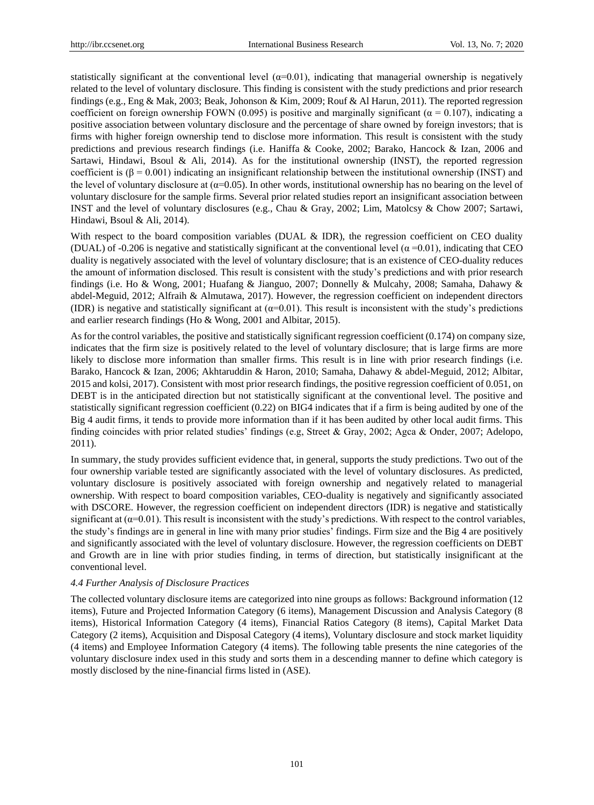statistically significant at the conventional level  $(\alpha=0.01)$ , indicating that managerial ownership is negatively related to the level of voluntary disclosure. This finding is consistent with the study predictions and prior research findings (e.g., Eng & Mak, 2003; Beak, Johonson & Kim, 2009; Rouf & Al Harun, 2011). The reported regression coefficient on foreign ownership FOWN (0.095) is positive and marginally significant ( $\alpha$  = 0.107), indicating a positive association between voluntary disclosure and the percentage of share owned by foreign investors; that is firms with higher foreign ownership tend to disclose more information. This result is consistent with the study predictions and previous research findings (i.e. Haniffa & Cooke, 2002; Barako, Hancock & Izan, 2006 and Sartawi, Hindawi, Bsoul & Ali, 2014). As for the institutional ownership (INST), the reported regression coefficient is  $(\beta = 0.001)$  indicating an insignificant relationship between the institutional ownership (INST) and the level of voluntary disclosure at  $(\alpha=0.05)$ . In other words, institutional ownership has no bearing on the level of voluntary disclosure for the sample firms. Several prior related studies report an insignificant association between INST and the level of voluntary disclosures (e.g., Chau & Gray, 2002; Lim, Matolcsy & Chow 2007; Sartawi, Hindawi, Bsoul & Ali, 2014).

With respect to the board composition variables (DUAL & IDR), the regression coefficient on CEO duality (DUAL) of -0.206 is negative and statistically significant at the conventional level ( $\alpha$  =0.01), indicating that CEO duality is negatively associated with the level of voluntary disclosure; that is an existence of CEO-duality reduces the amount of information disclosed. This result is consistent with the study's predictions and with prior research findings (i.e. Ho & Wong, 2001; Huafang & Jianguo, 2007; Donnelly & Mulcahy, 2008; Samaha, Dahawy & abdel-Meguid, 2012; Alfraih & Almutawa, 2017). However, the regression coefficient on independent directors (IDR) is negative and statistically significant at  $(\alpha=0.01)$ . This result is inconsistent with the study's predictions and earlier research findings (Ho & Wong, 2001 and Albitar, 2015).

As for the control variables, the positive and statistically significant regression coefficient (0.174) on company size, indicates that the firm size is positively related to the level of voluntary disclosure; that is large firms are more likely to disclose more information than smaller firms. This result is in line with prior research findings (i.e. Barako, Hancock & Izan, 2006; Akhtaruddin & Haron, 2010; Samaha, Dahawy & abdel-Meguid, 2012; Albitar, 2015 and kolsi, 2017). Consistent with most prior research findings, the positive regression coefficient of 0.051, on DEBT is in the anticipated direction but not statistically significant at the conventional level. The positive and statistically significant regression coefficient (0.22) on BIG4 indicates that if a firm is being audited by one of the Big 4 audit firms, it tends to provide more information than if it has been audited by other local audit firms. This finding coincides with prior related studies' findings (e.g, Street & Gray, 2002; Agca & Onder, 2007; Adelopo, 2011).

In summary, the study provides sufficient evidence that, in general, supports the study predictions. Two out of the four ownership variable tested are significantly associated with the level of voluntary disclosures. As predicted, voluntary disclosure is positively associated with foreign ownership and negatively related to managerial ownership. With respect to board composition variables, CEO-duality is negatively and significantly associated with DSCORE. However, the regression coefficient on independent directors (IDR) is negative and statistically significant at  $(\alpha=0.01)$ . This result is inconsistent with the study's predictions. With respect to the control variables, the study's findings are in general in line with many prior studies' findings. Firm size and the Big 4 are positively and significantly associated with the level of voluntary disclosure. However, the regression coefficients on DEBT and Growth are in line with prior studies finding, in terms of direction, but statistically insignificant at the conventional level.

## *4.4 Further Analysis of Disclosure Practices*

The collected voluntary disclosure items are categorized into nine groups as follows: Background information (12 items), Future and Projected Information Category (6 items), Management Discussion and Analysis Category (8 items), Historical Information Category (4 items), Financial Ratios Category (8 items), Capital Market Data Category (2 items), Acquisition and Disposal Category (4 items), Voluntary disclosure and stock market liquidity (4 items) and Employee Information Category (4 items). The following table presents the nine categories of the voluntary disclosure index used in this study and sorts them in a descending manner to define which category is mostly disclosed by the nine-financial firms listed in (ASE).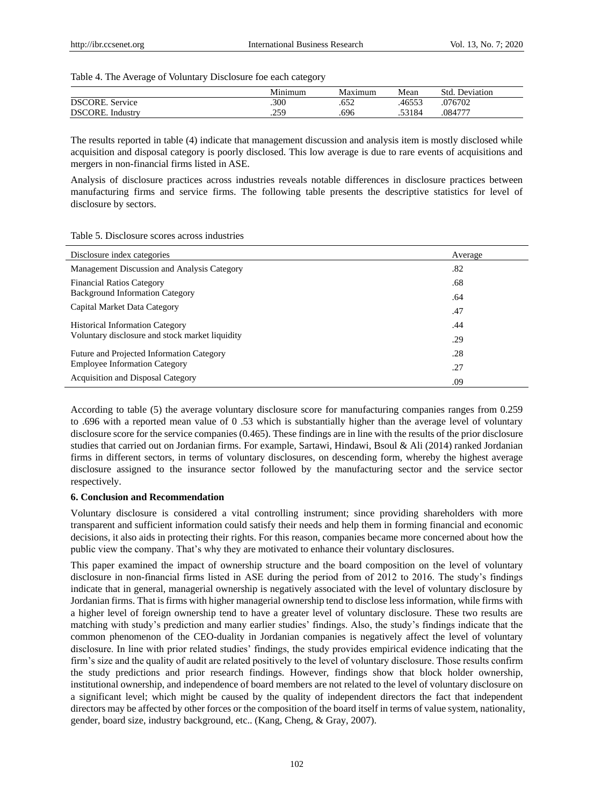Table 4. The Average of Voluntary Disclosure foe each category

|                     | Minimum | Maximum | Mean   | Std<br>Deviation |  |
|---------------------|---------|---------|--------|------------------|--|
| DSCORE.<br>Service  | .300    | .652    | 46553  | .076702          |  |
| DSCORE.<br>Industry | .259    | .696    | .53184 | .084777          |  |

The results reported in table (4) indicate that management discussion and analysis item is mostly disclosed while acquisition and disposal category is poorly disclosed. This low average is due to rare events of acquisitions and mergers in non-financial firms listed in ASE.

Analysis of disclosure practices across industries reveals notable differences in disclosure practices between manufacturing firms and service firms. The following table presents the descriptive statistics for level of disclosure by sectors.

#### Table 5. Disclosure scores across industries

| Disclosure index categories                     | Average |
|-------------------------------------------------|---------|
| Management Discussion and Analysis Category     | .82     |
| <b>Financial Ratios Category</b>                | .68     |
| <b>Background Information Category</b>          | .64     |
| Capital Market Data Category                    | .47     |
| <b>Historical Information Category</b>          | .44     |
| Voluntary disclosure and stock market liquidity | .29     |
| Future and Projected Information Category       | .28     |
| <b>Employee Information Category</b>            | .27     |
| <b>Acquisition and Disposal Category</b>        | .09     |

According to table (5) the average voluntary disclosure score for manufacturing companies ranges from 0.259 to .696 with a reported mean value of 0 .53 which is substantially higher than the average level of voluntary disclosure score for the service companies (0.465). These findings are in line with the results of the prior disclosure studies that carried out on Jordanian firms. For example, Sartawi, Hindawi, Bsoul & Ali (2014) ranked Jordanian firms in different sectors, in terms of voluntary disclosures, on descending form, whereby the highest average disclosure assigned to the insurance sector followed by the manufacturing sector and the service sector respectively.

## **6. Conclusion and Recommendation**

Voluntary disclosure is considered a vital controlling instrument; since providing shareholders with more transparent and sufficient information could satisfy their needs and help them in forming financial and economic decisions, it also aids in protecting their rights. For this reason, companies became more concerned about how the public view the company. That's why they are motivated to enhance their voluntary disclosures.

This paper examined the impact of ownership structure and the board composition on the level of voluntary disclosure in non-financial firms listed in ASE during the period from of 2012 to 2016. The study's findings indicate that in general, managerial ownership is negatively associated with the level of voluntary disclosure by Jordanian firms. That is firms with higher managerial ownership tend to disclose less information, while firms with a higher level of foreign ownership tend to have a greater level of voluntary disclosure. These two results are matching with study's prediction and many earlier studies' findings. Also, the study's findings indicate that the common phenomenon of the CEO-duality in Jordanian companies is negatively affect the level of voluntary disclosure. In line with prior related studies' findings, the study provides empirical evidence indicating that the firm's size and the quality of audit are related positively to the level of voluntary disclosure. Those results confirm the study predictions and prior research findings. However, findings show that block holder ownership, institutional ownership, and independence of board members are not related to the level of voluntary disclosure on a significant level; which might be caused by the quality of independent directors the fact that independent directors may be affected by other forces or the composition of the board itself in terms of value system, nationality, gender, board size, industry background, etc.. (Kang, Cheng, & Gray, 2007).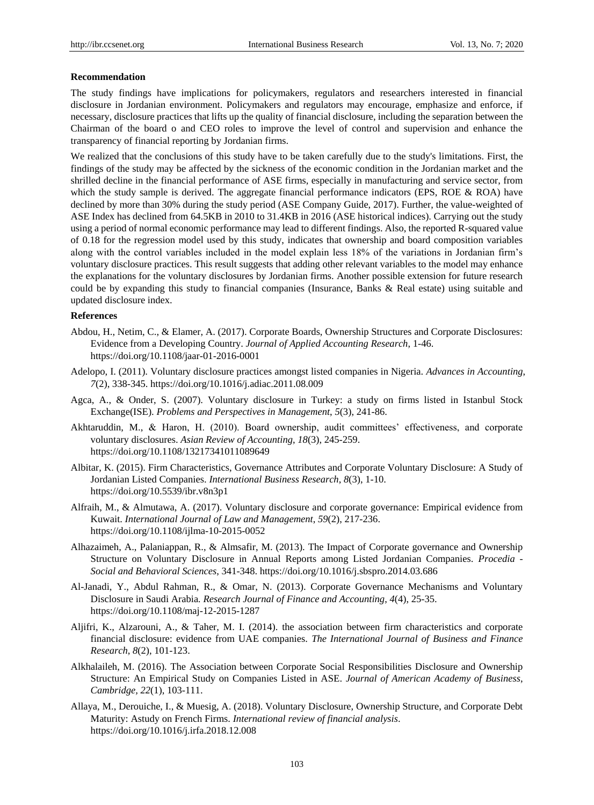## **Recommendation**

The study findings have implications for policymakers, regulators and researchers interested in financial disclosure in Jordanian environment. Policymakers and regulators may encourage, emphasize and enforce, if necessary, disclosure practices that lifts up the quality of financial disclosure, including the separation between the Chairman of the board o and CEO roles to improve the level of control and supervision and enhance the transparency of financial reporting by Jordanian firms.

We realized that the conclusions of this study have to be taken carefully due to the study's limitations. First, the findings of the study may be affected by the sickness of the economic condition in the Jordanian market and the shrilled decline in the financial performance of ASE firms, especially in manufacturing and service sector, from which the study sample is derived. The aggregate financial performance indicators (EPS, ROE & ROA) have declined by more than 30% during the study period (ASE Company Guide, 2017). Further, the value-weighted of ASE Index has declined from 64.5KB in 2010 to 31.4KB in 2016 (ASE historical indices). Carrying out the study using a period of normal economic performance may lead to different findings. Also, the reported R-squared value of 0.18 for the regression model used by this study, indicates that ownership and board composition variables along with the control variables included in the model explain less 18% of the variations in Jordanian firm's voluntary disclosure practices. This result suggests that adding other relevant variables to the model may enhance the explanations for the voluntary disclosures by Jordanian firms. Another possible extension for future research could be by expanding this study to financial companies (Insurance, Banks & Real estate) using suitable and updated disclosure index.

# **References**

- Abdou, H., Netim, C., & Elamer, A. (2017). Corporate Boards, Ownership Structures and Corporate Disclosures: Evidence from a Developing Country. *Journal of Applied Accounting Research*, 1-46. https://doi.org/10.1108/jaar-01-2016-0001
- Adelopo, I. (2011). Voluntary disclosure practices amongst listed companies in Nigeria. *Advances in Accounting*, *7*(2), 338-345. https://doi.org/10.1016/j.adiac.2011.08.009
- Agca, A., & Onder, S. (2007). Voluntary disclosure in Turkey: a study on firms listed in Istanbul Stock Exchange(ISE). *Problems and Perspectives in Management*, *5*(3), 241-86.
- Akhtaruddin, M., & Haron, H. (2010). Board ownership, audit committees' effectiveness, and corporate voluntary disclosures. *Asian Review of Accounting*, *18*(3), 245-259. https://doi.org/10.1108/13217341011089649
- Albitar, K. (2015). Firm Characteristics, Governance Attributes and Corporate Voluntary Disclosure: A Study of Jordanian Listed Companies. *International Business Research*, *8*(3), 1-10. https://doi.org/10.5539/ibr.v8n3p1
- Alfraih, M., & Almutawa, A. (2017). Voluntary disclosure and corporate governance: Empirical evidence from Kuwait. *International Journal of Law and Management*, *59*(2), 217-236. https://doi.org/10.1108/ijlma-10-2015-0052
- Alhazaimeh, A., Palaniappan, R., & Almsafir, M. (2013). The Impact of Corporate governance and Ownership Structure on Voluntary Disclosure in Annual Reports among Listed Jordanian Companies. *Procedia - Social and Behavioral Sciences*, 341-348. https://doi.org/10.1016/j.sbspro.2014.03.686
- Al-Janadi, Y., Abdul Rahman, R., & Omar, N. (2013). Corporate Governance Mechanisms and Voluntary Disclosure in Saudi Arabia*. Research Journal of Finance and Accounting*, *4*(4), 25-35. https://doi.org/10.1108/maj-12-2015-1287
- Aljifri, K., Alzarouni, A., & Taher, M. I. (2014). the association between firm characteristics and corporate financial disclosure: evidence from UAE companies. *The International Journal of Business and Finance Research*, *8*(2), 101-123.
- Alkhalaileh, M. (2016). The Association between Corporate Social Responsibilities Disclosure and Ownership Structure: An Empirical Study on Companies Listed in ASE. *Journal of American Academy of Business*, *Cambridge, 22*(1), 103-111.
- Allaya, M., Derouiche, I., & Muesig, A. (2018). Voluntary Disclosure, Ownership Structure, and Corporate Debt Maturity: Astudy on French Firms. *International review of financial analysis*. https://doi.org/10.1016/j.irfa.2018.12.008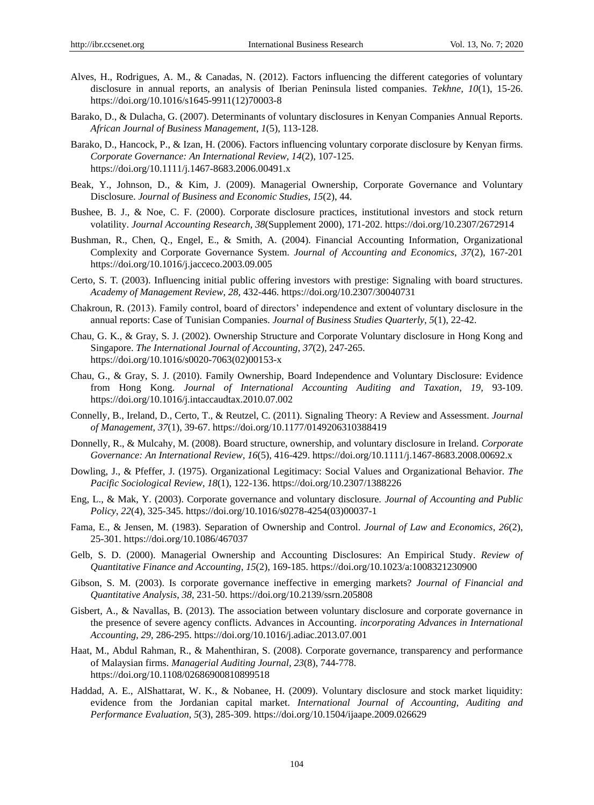- Alves, H., Rodrigues, A. M., & Canadas, N. (2012). Factors influencing the different categories of voluntary disclosure in annual reports, an analysis of Iberian Peninsula listed companies. *Tekhne, 10*(1), 15-26. https://doi.org/10.1016/s1645-9911(12)70003-8
- Barako, D., & Dulacha, G. (2007). Determinants of voluntary disclosures in Kenyan Companies Annual Reports. *African Journal of Business Management*, *1*(5), 113-128.
- Barako, D., Hancock, P., & Izan, H. (2006). Factors influencing voluntary corporate disclosure by Kenyan firms. *Corporate Governance: An International Review, 14*(2), 107-125. https://doi.org/10.1111/j.1467-8683.2006.00491.x
- Beak, Y., Johnson, D., & Kim, J. (2009). Managerial Ownership, Corporate Governance and Voluntary Disclosure. *Journal of Business and Economic Studies*, *15*(2), 44.
- Bushee, B. J., & Noe, C. F. (2000). Corporate disclosure practices, institutional investors and stock return volatility. *Journal Accounting Research*, *38*(Supplement 2000), 171-202. https://doi.org/10.2307/2672914
- Bushman, R., Chen, Q., Engel, E., & Smith, A. (2004). Financial Accounting Information, Organizational Complexity and Corporate Governance System. *Journal of Accounting and Economics*, *37*(2), 167-201 <https://doi.org/10.1016/j.jacceco.2003.09.005>
- Certo, S. T. (2003). Influencing initial public offering investors with prestige: Signaling with board structures. *Academy of Management Review*, *28,* 432-446.<https://doi.org/10.2307/30040731>
- Chakroun, R. (2013). Family control, board of directors' independence and extent of voluntary disclosure in the annual reports: Case of Tunisian Companies. *Journal of Business Studies Quarterly*, *5*(1), 22-42.
- Chau, G. K., & Gray, S. J. (2002). Ownership Structure and Corporate Voluntary disclosure in Hong Kong and Singapore. *The International Journal of Accounting*, *37*(2), 247-265. https://doi.org/10.1016/s0020-7063(02)00153-x
- Chau, G., & Gray, S. J. (2010). Family Ownership, Board Independence and Voluntary Disclosure: Evidence from Hong Kong. *Journal of International Accounting Auditing and Taxation*, *19,* 93-109. https://doi.org/10.1016/j.intaccaudtax.2010.07.002
- Connelly, B., Ireland, D., Certo, T., & Reutzel, C. (2011). Signaling Theory: A Review and Assessment. *Journal of Management*, *37*(1), 39-67.<https://doi.org/10.1177/0149206310388419>
- Donnelly, R., & Mulcahy, M. (2008). Board structure, ownership, and voluntary disclosure in Ireland. *Corporate Governance: An International Review*, *16*(5), 416-429. https://doi.org/10.1111/j.1467-8683.2008.00692.x
- Dowling, J., & Pfeffer, J. (1975). Organizational Legitimacy: Social Values and Organizational Behavior. *The Pacific Sociological Review*, *18*(1), 122-136. https://doi.org/10.2307/1388226
- Eng, L., & Mak, Y. (2003). Corporate governance and voluntary disclosure. *Journal of Accounting and Public Policy*, *22*(4), 325-345. https://doi.org/10.1016/s0278-4254(03)00037-1
- Fama, E., & Jensen, M. (1983). Separation of Ownership and Control. *Journal of Law and Economics*, *26*(2), 25-301.<https://doi.org/10.1086/467037>
- Gelb, S. D. (2000). Managerial Ownership and Accounting Disclosures: An Empirical Study. *Review of Quantitative Finance and Accounting*, *15*(2), 169-185. https://doi.org/10.1023/a:1008321230900
- Gibson, S. M. (2003). Is corporate governance ineffective in emerging markets? *Journal of Financial and Quantitative Analysis*, *38,* 231-50. https://doi.org/10.2139/ssrn.205808
- Gisbert, A., & Navallas, B. (2013). The association between voluntary disclosure and corporate governance in the presence of severe agency conflicts. Advances in Accounting. *incorporating Advances in International Accounting*, *29,* 286-295. https://doi.org/10.1016/j.adiac.2013.07.001
- Haat, M., Abdul Rahman, R., & Mahenthiran, S. (2008). Corporate governance, transparency and performance of Malaysian firms. *Managerial Auditing Journal, 23*(8), 744-778. https://doi.org/10.1108/02686900810899518
- Haddad, A. E., AlShattarat, W. K., & Nobanee, H. (2009). Voluntary disclosure and stock market liquidity: evidence from the Jordanian capital market. *International Journal of Accounting, Auditing and Performance Evaluation*, *5*(3), 285-309. https://doi.org/10.1504/ijaape.2009.026629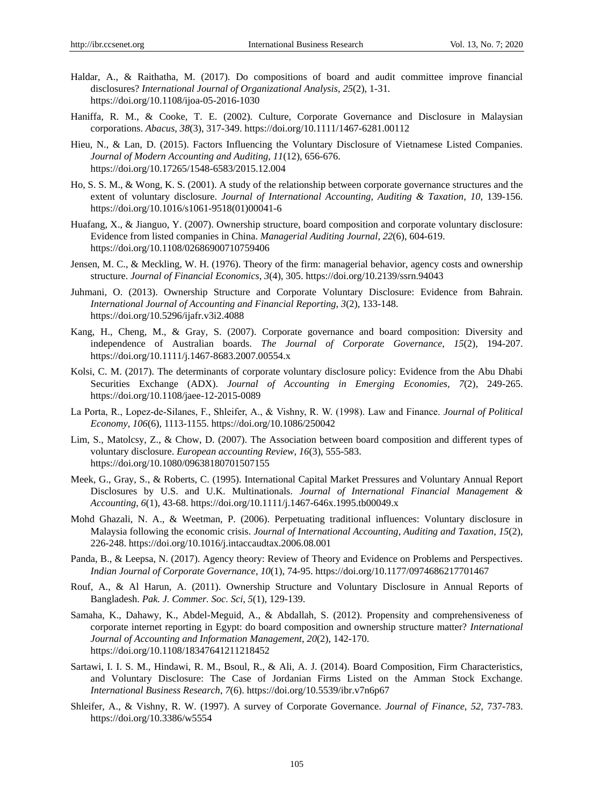- Haldar, A., & Raithatha, M. (2017). Do compositions of board and audit committee improve financial disclosures? *International Journal of Organizational Analysis*, *25*(2), 1-31. https://doi.org/10.1108/ijoa-05-2016-1030
- Haniffa, R. M., & Cooke, T. E. (2002). Culture, Corporate Governance and Disclosure in Malaysian corporations. *Abacus*, *38*(3), 317-349.<https://doi.org/10.1111/1467-6281.00112>
- Hieu, N., & Lan, D. (2015). Factors Influencing the Voluntary Disclosure of Vietnamese Listed Companies. *Journal of Modern Accounting and Auditing*, *11*(12), 656-676. https://doi.org/10.17265/1548-6583/2015.12.004
- Ho, S. S. M., & Wong, K. S. (2001). A study of the relationship between corporate governance structures and the extent of voluntary disclosure. *Journal of International Accounting, Auditing & Taxation*, *10,* 139-156. https://doi.org/10.1016/s1061-9518(01)00041-6
- Huafang, X., & Jianguo, Y. (2007). Ownership structure, board composition and corporate voluntary disclosure: Evidence from listed companies in China. *Managerial Auditing Journal*, *22*(6), 604-619. https://doi.org/10.1108/02686900710759406
- Jensen, M. C., & Meckling, W. H. (1976). Theory of the firm: managerial behavior, agency costs and ownership structure. *Journal of Financial Economics*, *3*(4), 305. https://doi.org/10.2139/ssrn.94043
- Juhmani, O. (2013). Ownership Structure and Corporate Voluntary Disclosure: Evidence from Bahrain. *International Journal of Accounting and Financial Reporting*, *3*(2), 133-148. https://doi.org/10.5296/ijafr.v3i2.4088
- Kang, H., Cheng, M., & Gray, S. (2007). Corporate governance and board composition: Diversity and independence of Australian boards. *The Journal of Corporate Governance*, *15*(2), 194-207. https://doi.org/10.1111/j.1467-8683.2007.00554.x
- Kolsi, C. M. (2017). The determinants of corporate voluntary disclosure policy: Evidence from the Abu Dhabi Securities Exchange (ADX). *Journal of Accounting in Emerging Economies*, *7*(2), 249-265. https://doi.org/10.1108/jaee-12-2015-0089
- La Porta, R., Lopez‐de‐Silanes, F., Shleifer, A., & Vishny, R. W. (1998). Law and Finance. *Journal of Political Economy*, *106*(6), 1113-1155. https://doi.org/10.1086/250042
- Lim, S., Matolcsy, Z., & Chow, D. (2007). The Association between board composition and different types of voluntary disclosure. *European accounting Review*, *16*(3), 555-583. https://doi.org/10.1080/09638180701507155
- Meek, G., Gray, S., & Roberts, C. (1995). International Capital Market Pressures and Voluntary Annual Report Disclosures by U.S. and U.K. Multinationals. *Journal of International Financial Management & Accounting*, *6*(1), 43-68. https://doi.org/10.1111/j.1467-646x.1995.tb00049.x
- Mohd Ghazali, N. A., & Weetman, P. (2006). Perpetuating traditional influences: Voluntary disclosure in Malaysia following the economic crisis. *Journal of International Accounting, Auditing and Taxation*, *15*(2), 226-248. https://doi.org/10.1016/j.intaccaudtax.2006.08.001
- Panda, B., & Leepsa, N. (2017). Agency theory: Review of Theory and Evidence on Problems and Perspectives. *Indian Journal of Corporate Governance*, *10*(1), 74-95. https://doi.org/10.1177/0974686217701467
- Rouf, A., & Al Harun, A. (2011). Ownership Structure and Voluntary Disclosure in Annual Reports of Bangladesh. *Pak. J. Commer. Soc. Sci*, *5*(1), 129-139.
- Samaha, K., Dahawy, K., Abdel-Meguid, A., & Abdallah, S. (2012). Propensity and comprehensiveness of corporate internet reporting in Egypt: do board composition and ownership structure matter? *International Journal of Accounting and Information Management*, *20*(2), 142-170. https://doi.org/10.1108/18347641211218452
- Sartawi, I. I. S. M., Hindawi, R. M., Bsoul, R., & Ali, A. J. (2014). Board Composition, Firm Characteristics, and Voluntary Disclosure: The Case of Jordanian Firms Listed on the Amman Stock Exchange. *International Business Research*, *7*(6). https://doi.org/10.5539/ibr.v7n6p67
- Shleifer, A., & Vishny, R. W. (1997). A survey of Corporate Governance. *Journal of Finance*, *52,* 737-783. https://doi.org/10.3386/w5554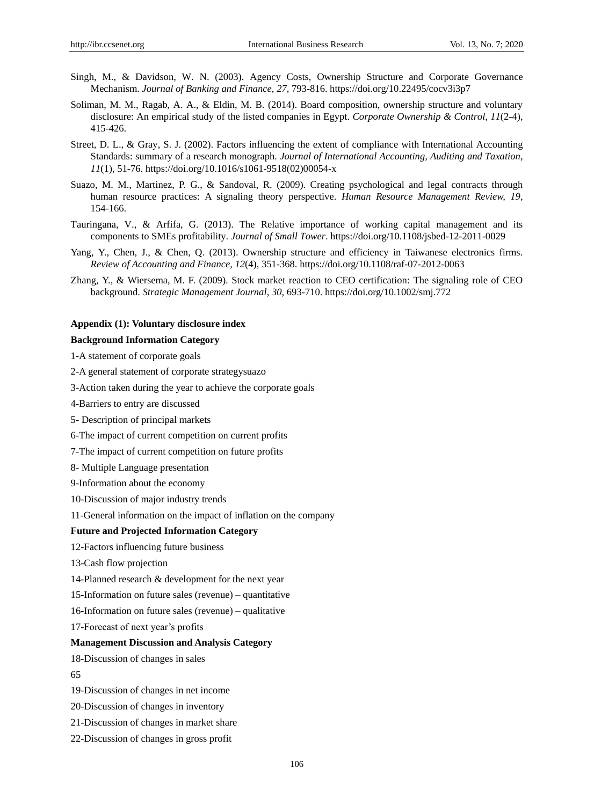- Singh, M., & Davidson, W. N. (2003). Agency Costs, Ownership Structure and Corporate Governance Mechanism. *Journal of Banking and Finance*, *27,* 793-816. https://doi.org/10.22495/cocv3i3p7
- Soliman, M. M., Ragab, A. A., & Eldin, M. B. (2014). Board composition, ownership structure and voluntary disclosure: An empirical study of the listed companies in Egypt. *Corporate Ownership & Control, 11*(2-4), 415-426.
- Street, D. L., & Gray, S. J. (2002). Factors influencing the extent of compliance with International Accounting Standards: summary of a research monograph. *Journal of International Accounting, Auditing and Taxation*, *11*(1), 51-76. https://doi.org/10.1016/s1061-9518(02)00054-x
- Suazo, M. M., Martinez, P. G., & Sandoval, R. (2009). Creating psychological and legal contracts through human resource practices: A signaling theory perspective. *Human Resource Management Review, 19,* 154-166.
- Tauringana, V., & Arfifa, G. (2013). The Relative importance of working capital management and its components to SMEs profitability. *Journal of Small Tower*[. https://doi.org/10.1108/jsbed-12-2011-0029](https://doi.org/10.1108/jsbed-12-2011-0029)
- Yang, Y., Chen, J., & Chen, Q. (2013). Ownership structure and efficiency in Taiwanese electronics firms. *Review of Accounting and Finance, 12*(4), 351-368[. https://doi.org/10.1108/raf-07-2012-0063](https://doi.org/10.1108/raf-07-2012-0063)
- Zhang, Y., & Wiersema, M. F. (2009). Stock market reaction to CEO certification: The signaling role of CEO background. *Strategic Management Journal*, *30,* 693-710.<https://doi.org/10.1002/smj.772>

## **Appendix (1): Voluntary disclosure index**

## **Background Information Category**

- 1-A statement of corporate goals
- 2-A general statement of corporate strategysuazo
- 3-Action taken during the year to achieve the corporate goals
- 4-Barriers to entry are discussed
- 5- Description of principal markets
- 6-The impact of current competition on current profits
- 7-The impact of current competition on future profits
- 8- Multiple Language presentation
- 9-Information about the economy
- 10-Discussion of major industry trends

11-General information on the impact of inflation on the company

## **Future and Projected Information Category**

- 12-Factors influencing future business
- 13-Cash flow projection
- 14-Planned research & development for the next year
- 15-Information on future sales (revenue) quantitative
- 16-Information on future sales (revenue) qualitative
- 17-Forecast of next year's profits

#### **Management Discussion and Analysis Category**

- 18-Discussion of changes in sales
- 65
- 19-Discussion of changes in net income
- 20-Discussion of changes in inventory
- 21-Discussion of changes in market share
- 22-Discussion of changes in gross profit